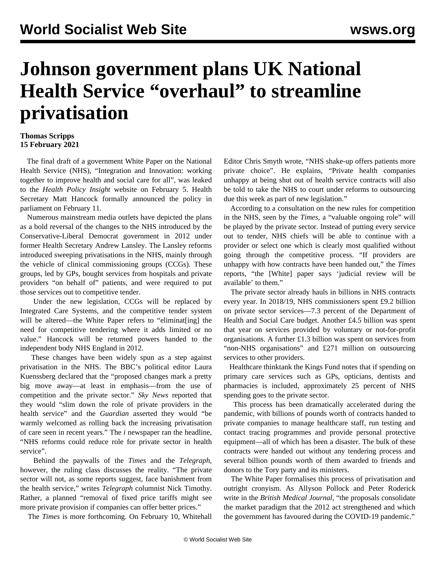## **Johnson government plans UK National Health Service "overhaul" to streamline privatisation**

## **Thomas Scripps 15 February 2021**

 The final draft of a government White Paper on the National Health Service (NHS), "Integration and Innovation: working together to improve health and social care for all", was leaked to the *Health Policy Insight* website on February 5. Health Secretary Matt Hancock formally announced the policy in parliament on February 11.

 Numerous mainstream media outlets have depicted the plans as a bold reversal of the changes to the NHS introduced by the Conservative-Liberal Democrat government in 2012 under former Health Secretary Andrew Lansley. The Lansley reforms introduced sweeping privatisations in the NHS, mainly through the vehicle of clinical commissioning groups (CCGs). These groups, led by GPs, bought services from hospitals and private providers "on behalf of" patients, and were required to put those services out to competitive tender.

 Under the new legislation, CCGs will be replaced by Integrated Care Systems, and the competitive tender system will be altered—the White Paper refers to "eliminat[ing] the need for competitive tendering where it adds limited or no value." Hancock will be returned powers handed to the independent body NHS England in 2012.

 These changes have been widely spun as a step against privatisation in the NHS. The BBC's political editor Laura Kuenssberg declared that the "proposed changes mark a pretty big move away—at least in emphasis—from the use of competition and the private sector." *Sky News* reported that they would "slim down the role of private providers in the health service" and the *Guardian* asserted they would "be warmly welcomed as rolling back the increasing privatisation of care seen in recent years." The *i* newspaper ran the headline, "NHS reforms could reduce role for private sector in health service".

 Behind the paywalls of the *Times* and the *Telegraph*, however, the ruling class discusses the reality. "The private sector will not, as some reports suggest, face banishment from the health service," writes *Telegraph* columnist Nick Timothy. Rather, a planned "removal of fixed price tariffs might see more private provision if companies can offer better prices."

The *Times* is more forthcoming. On February 10, Whitehall

Editor Chris Smyth wrote, "NHS shake-up offers patients more private choice". He explains, "Private health companies unhappy at being shut out of health service contracts will also be told to take the NHS to court under reforms to outsourcing due this week as part of new legislation."

 According to a consultation on the new rules for competition in the NHS, seen by the *Times*, a "valuable ongoing role" will be played by the private sector. Instead of putting every service out to tender, NHS chiefs will be able to continue with a provider or select one which is clearly most qualified without going through the competitive process. "If providers are unhappy with how contracts have been handed out," the *Times* reports, "the [White] paper says 'judicial review will be available' to them."

 The private sector already hauls in billions in NHS contracts every year. In 2018/19, NHS commissioners spent £9.2 billion on private sector services—7.3 percent of the Department of Health and Social Care budget. Another £4.5 billion was spent that year on services provided by voluntary or not-for-profit organisations. A further £1.3 billion was spent on services from "non-NHS organisations" and £271 million on outsourcing services to other providers.

 Healthcare thinktank the Kings Fund notes that if spending on primary care services such as GPs, opticians, dentists and pharmacies is included, approximately 25 percent of NHS spending goes to the private sector.

 This process has been dramatically accelerated during the pandemic, with billions of pounds worth of contracts handed to private companies to manage healthcare staff, run testing and contact tracing programmes and provide personal protective equipment—all of which has been a disaster. The bulk of these contracts were handed out without any tendering process and several billion pounds worth of them awarded to [friends](/en/articles/2020/11/30/prof-n30.html) and donors to the Tory party and its ministers.

 The White Paper formalises this process of privatisation and outright cronyism. As Allyson Pollock and Peter Roderick write in the *British Medical Journal*, "the proposals consolidate the market paradigm that the 2012 act strengthened and which the government has favoured during the COVID-19 pandemic."